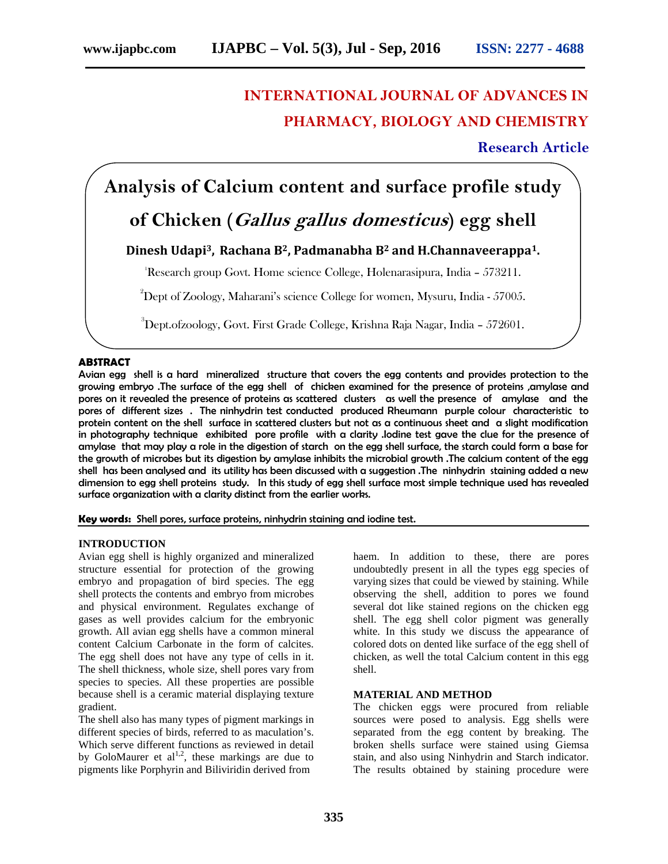# **INTERNATIONAL JOURNAL OF ADVANCES IN PHARMACY, BIOLOGY AND CHEMISTRY**

**Research Article**

## **Analysis of Calcium content and surface profile study**

### **of Chicken (***Gallus gallus domesticus***) egg shell**

### **Dinesh Udapi3, Rachana B2, Padmanabha B<sup>2</sup> and H.Channaveerappa1.**

<sup>1</sup>Research group Govt. Home science College, Holenarasipura, India - 573211.

 $2^2$ Dept of Zoology, Maharani's science College for women, Mysuru, India - 57005.

 $3$ Dept.ofzoology, Govt. First Grade College, Krishna Raja Nagar, India – 572601.

#### **ABSTRACT**

Avian egg shell is a hard mineralized structure that covers the egg contents and provides protection to the growing embryo .The surface of the egg shell of chicken examined for the presence of proteins ,amylase and pores on it revealed the presence of proteins as scattered clusters as well the presence of amylase and the pores of different sizes . The ninhydrin test conducted produced Rheumann purple colour characteristic to protein content on the shell surface in scattered clusters but not as a continuous sheet and a slight modification in photography technique exhibited pore profile with a clarity .Iodine test gave the clue for the presence of amylase that may play a role in the digestion of starch on the egg shell surface, the starch could form a base for the growth of microbes but its digestion by amylase inhibits the microbial growth .The calcium content of the egg shell has been analysed and its utility has been discussed with a suggestion .The ninhydrin staining added a new dimension to egg shell proteins study. In this study of egg shell surface most simple technique used has revealed surface organization with a clarity distinct from the earlier works.

**Key words:** Shell pores, surface proteins, ninhydrin staining and iodine test.

#### **INTRODUCTION**

Avian egg shell is highly organized and mineralized structure essential for protection of the growing embryo and propagation of bird species. The egg shell protects the contents and embryo from microbes and physical environment. Regulates exchange of gases as well provides calcium for the embryonic growth. All avian egg shells have a common mineral content Calcium Carbonate in the form of calcites. The egg shell does not have any type of cells in it. The shell thickness, whole size, shell pores vary from species to species. All these properties are possible because shell is a ceramic material displaying texture gradient.

The shell also has many types of pigment markings in different species of birds, referred to as maculation's. Which serve different functions as reviewed in detail by GoloMaurer et  $al^{1,2}$ , these markings are due to pigments like Porphyrin and Biliviridin derived from

haem. In addition to these, there are pores undoubtedly present in all the types egg species of varying sizes that could be viewed by staining. While observing the shell, addition to pores we found several dot like stained regions on the chicken egg shell. The egg shell color pigment was generally white. In this study we discuss the appearance of colored dots on dented like surface of the egg shell of chicken, as well the total Calcium content in this egg shell.

#### **MATERIAL AND METHOD**

The chicken eggs were procured from reliable sources were posed to analysis. Egg shells were separated from the egg content by breaking. The broken shells surface were stained using Giemsa stain, and also using Ninhydrin and Starch indicator. The results obtained by staining procedure were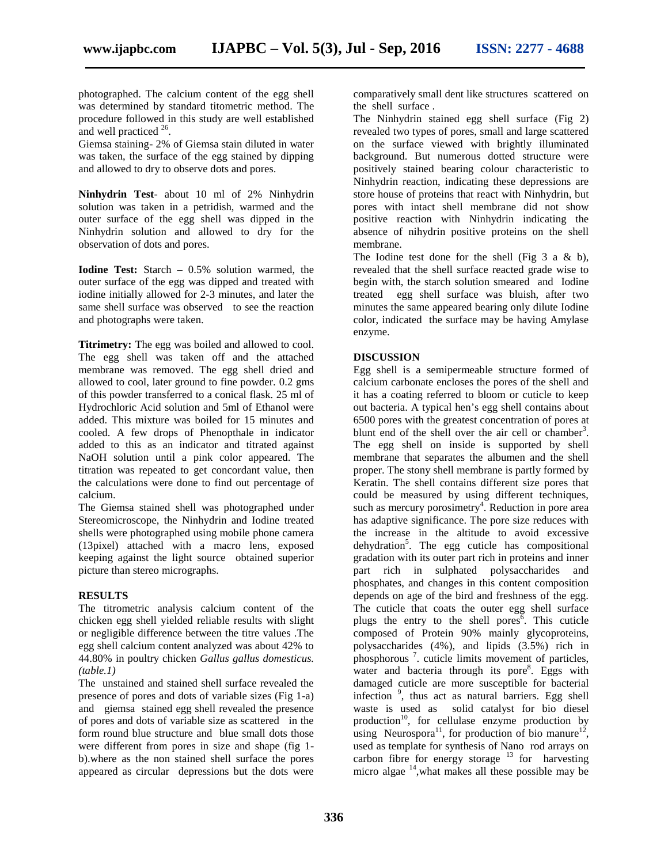photographed. The calcium content of the egg shell was determined by standard titometric method. The procedure followed in this study are well established and well practiced  $2^6$ .

Giemsa staining- 2% of Giemsa stain diluted in water was taken, the surface of the egg stained by dipping and allowed to dry to observe dots and pores.

**Ninhydrin Test**- about 10 ml of 2% Ninhydrin solution was taken in a petridish, warmed and the outer surface of the egg shell was dipped in the Ninhydrin solution and allowed to dry for the observation of dots and pores.

**Iodine Test:** Starch – 0.5% solution warmed, the outer surface of the egg was dipped and treated with iodine initially allowed for 2-3 minutes, and later the same shell surface was observed to see the reaction and photographs were taken.

**Titrimetry:** The egg was boiled and allowed to cool. The egg shell was taken off and the attached membrane was removed. The egg shell dried and allowed to cool, later ground to fine powder. 0.2 gms of this powder transferred to a conical flask. 25 ml of Hydrochloric Acid solution and 5ml of Ethanol were added. This mixture was boiled for 15 minutes and cooled. A few drops of Phenopthale in indicator added to this as an indicator and titrated against NaOH solution until a pink color appeared. The titration was repeated to get concordant value, then the calculations were done to find out percentage of calcium.

The Giemsa stained shell was photographed under Stereomicroscope, the Ninhydrin and Iodine treated shells were photographed using mobile phone camera (13pixel) attached with a macro lens, exposed keeping against the light source obtained superior picture than stereo micrographs.

#### **RESULTS**

The titrometric analysis calcium content of the chicken egg shell yielded reliable results with slight or negligible difference between the titre values .The egg shell calcium content analyzed was about 42% to 44.80% in poultry chicken *Gallus gallus domesticus. (table.1)*

The unstained and stained shell surface revealed the presence of pores and dots of variable sizes (Fig 1-a) and giemsa stained egg shell revealed the presence of pores and dots of variable size as scattered in the form round blue structure and blue small dots those were different from pores in size and shape (fig 1 b).where as the non stained shell surface the pores appeared as circular depressions but the dots were comparatively small dent like structures scattered on the shell surface .

The Ninhydrin stained egg shell surface (Fig 2) revealed two types of pores, small and large scattered on the surface viewed with brightly illuminated background. But numerous dotted structure were positively stained bearing colour characteristic to Ninhydrin reaction, indicating these depressions are store house of proteins that react with Ninhydrin, but pores with intact shell membrane did not show positive reaction with Ninhydrin indicating the absence of nihydrin positive proteins on the shell membrane.

The Iodine test done for the shell (Fig  $3$  a  $\&$  b), revealed that the shell surface reacted grade wise to begin with, the starch solution smeared and Iodine treated egg shell surface was bluish, after two minutes the same appeared bearing only dilute Iodine color, indicated the surface may be having Amylase enzyme.

#### **DISCUSSION**

Egg shell is a semipermeable structure formed of calcium carbonate encloses the pores of the shell and it has a coating referred to bloom or cuticle to keep out bacteria. A typical hen's egg shell contains about 6500 pores with the greatest concentration of pores at blunt end of the shell over the air cell or chamber<sup>3</sup>. The egg shell on inside is supported by shell membrane that separates the albumen and the shell proper. The stony shell membrane is partly formed by Keratin. The shell contains different size pores that could be measured by using different techniques, such as mercury porosimetry<sup>4</sup>. Reduction in pore area has adaptive significance. The pore size reduces with the increase in the altitude to avoid excessive dehydration<sup>5</sup>. The egg cuticle has compositional gradation with its outer part rich in proteins and inner part rich in sulphated polysaccharides and phosphates, and changes in this content composition depends on age of the bird and freshness of the egg. The cuticle that coats the outer egg shell surface plugs the entry to the shell pores<sup> $\bar{6}$ </sup>. This cuticle composed of Protein 90% mainly glycoproteins, polysaccharides (4%), and lipids (3.5%) rich in phosphorous<sup>7</sup>. cuticle limits movement of particles, water and bacteria through its pore<sup>8</sup>. Eggs with damaged cuticle are more susceptible for bacterial infection <sup>9</sup> , thus act as natural barriers. Egg shell waste is used as solid catalyst for bio diesel production<sup>10</sup>, for cellulase enzyme production by using Neurospora<sup>11</sup>, for production of bio manure<sup>12</sup>, used as template for synthesis of Nano rod arrays on carbon fibre for energy storage  $^{13}$  for harvesting micro algae  $14$ , what makes all these possible may be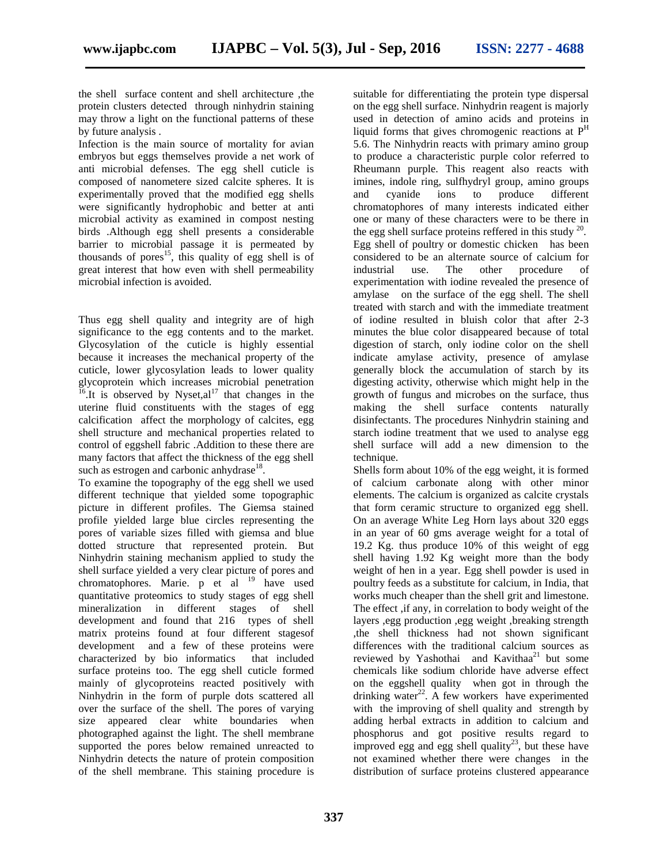the shell surface content and shell architecture ,the protein clusters detected through ninhydrin staining may throw a light on the functional patterns of these by future analysis .

Infection is the main source of mortality for avian embryos but eggs themselves provide a net work of anti microbial defenses. The egg shell cuticle is composed of nanometere sized calcite spheres. It is experimentally proved that the modified egg shells were significantly hydrophobic and better at anti microbial activity as examined in compost nesting birds .Although egg shell presents a considerable barrier to microbial passage it is permeated by thousands of pores<sup>15</sup>, this quality of egg shell is of great interest that how even with shell permeability microbial infection is avoided.

Thus egg shell quality and integrity are of high significance to the egg contents and to the market. Glycosylation of the cuticle is highly essential because it increases the mechanical property of the cuticle, lower glycosylation leads to lower quality glycoprotein which increases microbial penetration  $^{16}$ . It is observed by Nyset,al<sup>17</sup> that changes in the uterine fluid constituents with the stages of egg calcification affect the morphology of calcites, egg shell structure and mechanical properties related to control of eggshell fabric .Addition to these there are many factors that affect the thickness of the egg shell such as estrogen and carbonic anhydrase $^{18}$ .

To examine the topography of the egg shell we used different technique that yielded some topographic picture in different profiles. The Giemsa stained profile yielded large blue circles representing the pores of variable sizes filled with giemsa and blue dotted structure that represented protein. But Ninhydrin staining mechanism applied to study the shell surface yielded a very clear picture of pores and chromatophores. Marie. p et al <sup>19</sup> have used quantitative proteomics to study stages of egg shell mineralization in different stages of shell development and found that 216 types of shell matrix proteins found at four different stagesof development and a few of these proteins were characterized by bio informatics that included surface proteins too. The egg shell cuticle formed mainly of glycoproteins reacted positively with Ninhydrin in the form of purple dots scattered all over the surface of the shell. The pores of varying size appeared clear white boundaries when photographed against the light. The shell membrane supported the pores below remained unreacted to Ninhydrin detects the nature of protein composition of the shell membrane. This staining procedure is

suitable for differentiating the protein type dispersal on the egg shell surface. Ninhydrin reagent is majorly used in detection of amino acids and proteins in liquid forms that gives chromogenic reactions at  $P<sup>H</sup>$ 5.6. The Ninhydrin reacts with primary amino group to produce a characteristic purple color referred to Rheumann purple. This reagent also reacts with imines, indole ring, sulfhydryl group, amino groups and cyanide ions to produce different chromatophores of many interests indicated either one or many of these characters were to be there in the egg shell surface proteins reffered in this study  $20$ . Egg shell of poultry or domestic chicken has been considered to be an alternate source of calcium for use. The other procedure of experimentation with iodine revealed the presence of amylase on the surface of the egg shell. The shell treated with starch and with the immediate treatment of iodine resulted in bluish color that after 2-3 minutes the blue color disappeared because of total digestion of starch, only iodine color on the shell indicate amylase activity, presence of amylase generally block the accumulation of starch by its digesting activity, otherwise which might help in the growth of fungus and microbes on the surface, thus making the shell surface contents naturally disinfectants. The procedures Ninhydrin staining and starch iodine treatment that we used to analyse egg shell surface will add a new dimension to the technique.

Shells form about 10% of the egg weight, it is formed of calcium carbonate along with other minor elements. The calcium is organized as calcite crystals that form ceramic structure to organized egg shell. On an average White Leg Horn lays about 320 eggs in an year of 60 gms average weight for a total of 19.2 Kg. thus produce 10% of this weight of egg shell having 1.92 Kg weight more than the body weight of hen in a year. Egg shell powder is used in poultry feeds as a substitute for calcium, in India, that works much cheaper than the shell grit and limestone. The effect ,if any, in correlation to body weight of the layers ,egg production ,egg weight ,breaking strength ,the shell thickness had not shown significant differences with the traditional calcium sources as reviewed by Yashothai and Kavithaa<sup>21</sup> but some chemicals like sodium chloride have adverse effect on the eggshell quality when got in through the drinking water $^{22}$ . A few workers have experimented with the improving of shell quality and strength by adding herbal extracts in addition to calcium and phosphorus and got positive results regard to improved egg and egg shell quality<sup>23</sup>, but these have not examined whether there were changes in the distribution of surface proteins clustered appearance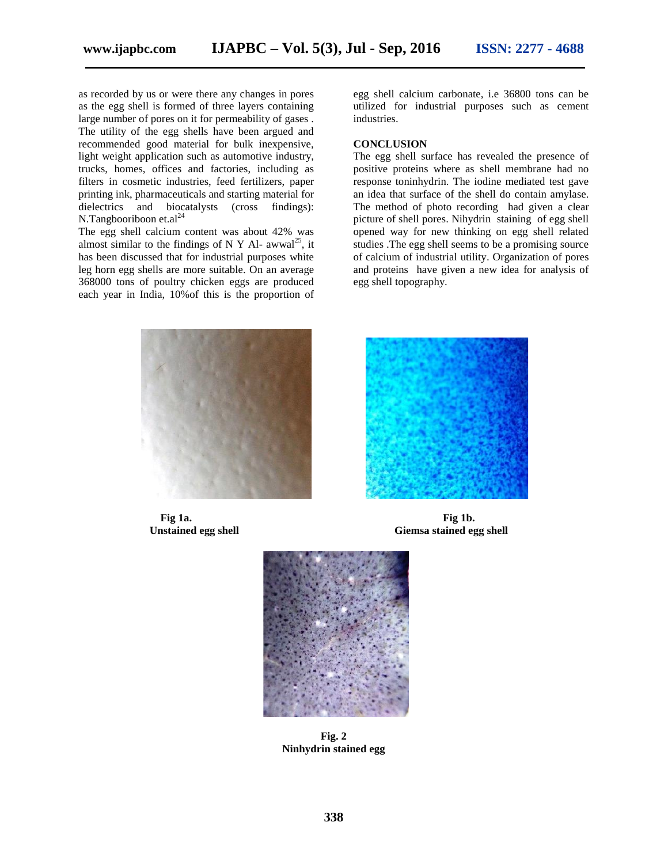as recorded by us or were there any changes in pores as the egg shell is formed of three layers containing large number of pores on it for permeability of gases . The utility of the egg shells have been argued and recommended good material for bulk inexpensive, light weight application such as automotive industry, trucks, homes, offices and factories, including as filters in cosmetic industries, feed fertilizers, paper printing ink, pharmaceuticals and starting material for dielectrics and biocatalysts (cross findings): N.Tangbooriboon et.al<sup>24</sup>

The egg shell calcium content was about 42% was almost similar to the findings of N Y Al- awwal<sup>25</sup>, it has been discussed that for industrial purposes white leg horn egg shells are more suitable. On an average 368000 tons of poultry chicken eggs are produced each year in India, 10%of this is the proportion of

egg shell calcium carbonate, i.e 36800 tons can be utilized for industrial purposes such as cement industries.

#### **CONCLUSION**

The egg shell surface has revealed the presence of positive proteins where as shell membrane had no response toninhydrin. The iodine mediated test gave an idea that surface of the shell do contain amylase. The method of photo recording had given a clear picture of shell pores. Nihydrin staining of egg shell opened way for new thinking on egg shell related studies .The egg shell seems to be a promising source of calcium of industrial utility. Organization of pores and proteins have given a new idea for analysis of egg shell topography.





**Fig 1a. Fig 1b. Unstained egg shell Giemsa stained egg shell**



**Fig. 2 Ninhydrin stained egg**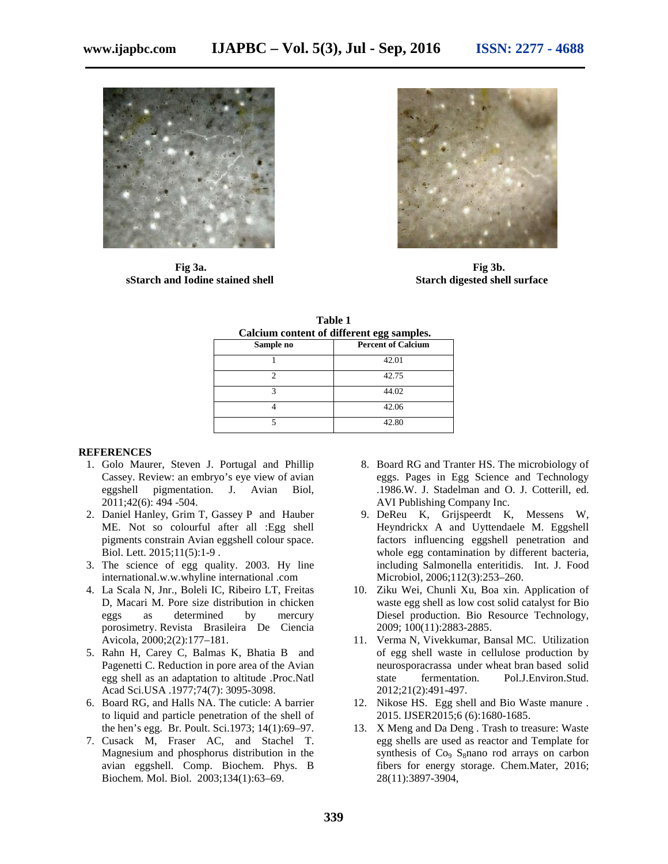

**sStarch and Iodine stained shell Starch digested shell surface**



**Fig 3a. Fig 3b.**

| Calcium content of different egg samples. |                           |
|-------------------------------------------|---------------------------|
| Sample no                                 | <b>Percent of Calcium</b> |
|                                           | 42.01                     |
|                                           | 42.75                     |
| 3                                         | 44.02                     |
|                                           | 42.06                     |
|                                           | 42.80                     |
|                                           |                           |

| Table 1                                   |          |  |
|-------------------------------------------|----------|--|
| Calcium content of different egg samples. |          |  |
|                                           | <b>P</b> |  |

#### **REFERENCES**

- 1. Golo Maurer, Steven J. Portugal and Phillip Cassey. Review: an embryo's eye view of avian eggshell pigmentation. J. Avian Biol, 2011;42(6): 494 -504.
- 2. Daniel Hanley, Grim T, Gassey P and Hauber ME. Not so colourful after all :Egg shell pigments constrain Avian eggshell colour space. Biol. Lett. 2015;11(5):1-9 .
- 3. The science of egg quality. 2003. Hy line international.w.w.whyline international .com
- 4. La Scala N, Jnr., Boleli IC, Ribeiro LT, Freitas D, Macari M. Pore size distribution in chicken eggs as determined by mercury porosimetry. Revista Brasileira De Ciencia Avicola, 2000;2(2):177–181.
- 5. Rahn H, Carey C, Balmas K, Bhatia B and Pagenetti C. Reduction in pore area of the Avian egg shell as an adaptation to altitude .Proc.Natl Acad Sci.USA .1977;74(7): 3095-3098.
- 6. Board RG, and Halls NA. The cuticle: A barrier to liquid and particle penetration of the shell of the hen's egg. Br. Poult. Sci.1973; 14(1):69–97.
- 7. Cusack M, Fraser AC, and Stachel T. Magnesium and phosphorus distribution in the avian eggshell. Comp. Biochem. Phys. B Biochem. Mol. Biol. 2003;134(1):63–69.
- 8. Board RG and Tranter HS. The microbiology of eggs. Pages in Egg Science and Technology .1986.W. J. Stadelman and O. J. Cotterill, ed. AVI Publishing Company Inc.
- 9. DeReu K, Grijspeerdt K, Messens W, Heyndrickx A and Uyttendaele M. Eggshell factors influencing eggshell penetration and whole egg contamination by different bacteria, including Salmonella enteritidis. Int. J. Food Microbiol, 2006;112(3):253–260.
- 10. Ziku Wei, Chunli Xu, Boa xin. Application of waste egg shell as low cost solid catalyst for Bio Diesel production. Bio Resource Technology, 2009; 100(11):2883-2885.
- 11. Verma N, Vivekkumar, Bansal MC. Utilization of egg shell waste in cellulose production by neurosporacrassa under wheat bran based solid state fermentation. Pol.J.Environ.Stud. 2012;21(2):491-497.
- 12. Nikose HS. Egg shell and Bio Waste manure . 2015. IJSER2015;6 (6):1680-1685.
- 13. X Meng and Da Deng . Trash to treasure: Waste egg shells are used as reactor and Template for synthesis of  $Co<sub>9</sub>$  S<sub>8</sub>nano rod arrays on carbon fibers for energy storage. Chem.Mater, 2016; 28(11):3897-3904,